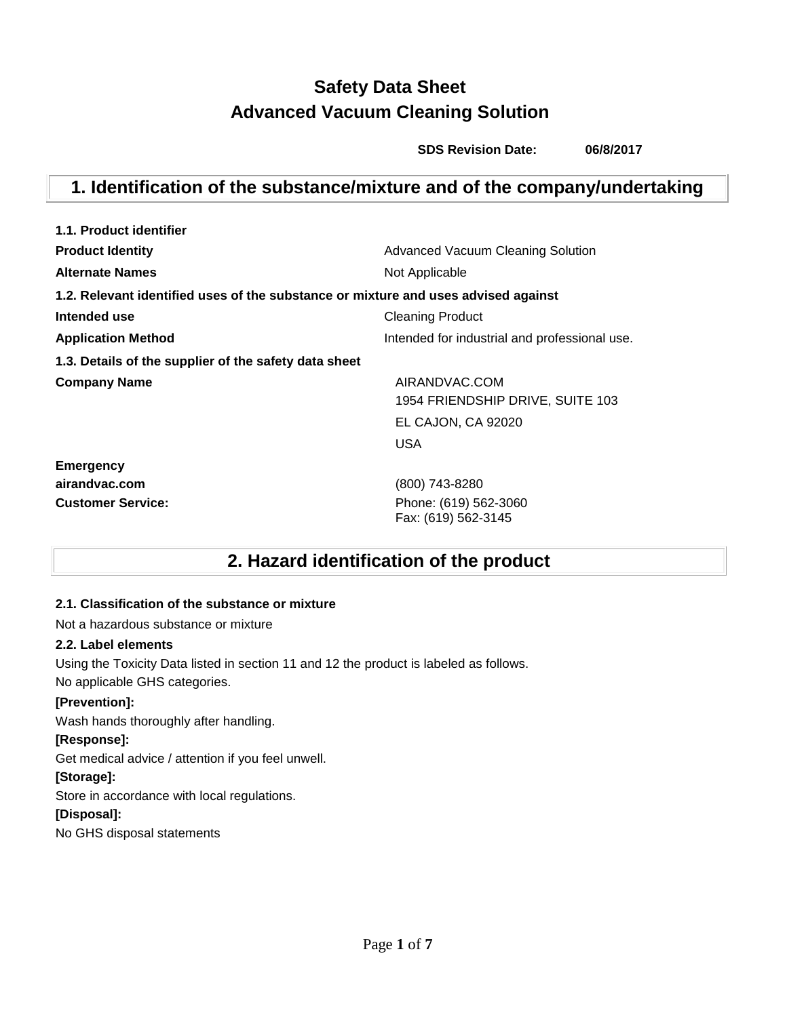# **Safety Data Sheet Advanced Vacuum Cleaning Solution**

 **SDS Revision Date: 06/8/2017**

# **1. Identification of the substance/mixture and of the company/undertaking**

| 1.1. Product identifier                                                            |                                               |  |  |
|------------------------------------------------------------------------------------|-----------------------------------------------|--|--|
| <b>Product Identity</b>                                                            | <b>Advanced Vacuum Cleaning Solution</b>      |  |  |
| <b>Alternate Names</b>                                                             | Not Applicable                                |  |  |
| 1.2. Relevant identified uses of the substance or mixture and uses advised against |                                               |  |  |
| Intended use                                                                       | <b>Cleaning Product</b>                       |  |  |
| <b>Application Method</b>                                                          | Intended for industrial and professional use. |  |  |
| 1.3. Details of the supplier of the safety data sheet                              |                                               |  |  |
| <b>Company Name</b>                                                                | AIRANDVAC.COM                                 |  |  |
|                                                                                    | 1954 FRIENDSHIP DRIVE, SUITE 103              |  |  |
|                                                                                    | EL CAJON, CA 92020                            |  |  |
|                                                                                    | USA                                           |  |  |
| <b>Emergency</b>                                                                   |                                               |  |  |
| airandvac.com                                                                      | (800) 743-8280                                |  |  |
| <b>Customer Service:</b>                                                           | Phone: (619) 562-3060<br>Fax: (619) 562-3145  |  |  |

# **2. Hazard identification of the product**

## **2.1. Classification of the substance or mixture**

Not a hazardous substance or mixture

## **2.2. Label elements**

Using the Toxicity Data listed in section 11 and 12 the product is labeled as follows. No applicable GHS categories.

## **[Prevention]:**

Wash hands thoroughly after handling.

## **[Response]:**

Get medical advice / attention if you feel unwell.

## **[Storage]:**

Store in accordance with local regulations.

## **[Disposal]:**

No GHS disposal statements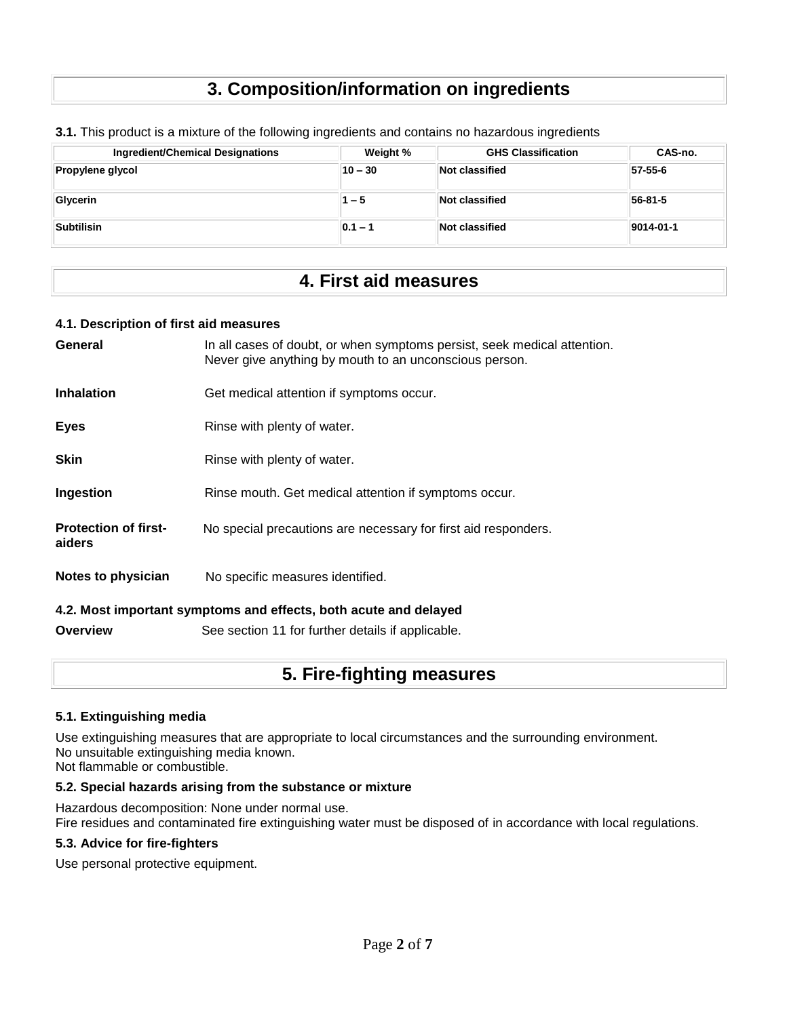# **3. Composition/information on ingredients**

| <b>Ingredient/Chemical Designations</b> | Weight %    | <b>GHS Classification</b> | CAS-no.           |
|-----------------------------------------|-------------|---------------------------|-------------------|
| Propylene glycol                        | $10 - 30$   | Not classified            | 57-55-6           |
| Glycerin                                | 1 – 5       | Not classified            | 56-81-5           |
| Subtilisin                              | $ 0.1 - 1 $ | Not classified            | $ 9014 - 01 - 1 $ |

**3.1.** This product is a mixture of the following ingredients and contains no hazardous ingredients

## **4. First aid measures**

#### **4.1. Description of first aid measures**

| General                               | In all cases of doubt, or when symptoms persist, seek medical attention.<br>Never give anything by mouth to an unconscious person. |  |  |
|---------------------------------------|------------------------------------------------------------------------------------------------------------------------------------|--|--|
| <b>Inhalation</b>                     | Get medical attention if symptoms occur.                                                                                           |  |  |
| <b>Eyes</b>                           | Rinse with plenty of water.                                                                                                        |  |  |
| <b>Skin</b>                           | Rinse with plenty of water.                                                                                                        |  |  |
| Ingestion                             | Rinse mouth. Get medical attention if symptoms occur.                                                                              |  |  |
| <b>Protection of first-</b><br>aiders | No special precautions are necessary for first aid responders.                                                                     |  |  |
| Notes to physician                    | No specific measures identified.                                                                                                   |  |  |
|                                       | 4.2. Most important symptoms and effects, both acute and delayed                                                                   |  |  |
| <b>Overview</b>                       | See section 11 for further details if applicable.                                                                                  |  |  |

## **5. Fire-fighting measures**

#### **5.1. Extinguishing media**

Use extinguishing measures that are appropriate to local circumstances and the surrounding environment. No unsuitable extinguishing media known. Not flammable or combustible.

#### **5.2. Special hazards arising from the substance or mixture**

Hazardous decomposition: None under normal use. Fire residues and contaminated fire extinguishing water must be disposed of in accordance with local regulations.

#### **5.3. Advice for fire-fighters**

Use personal protective equipment.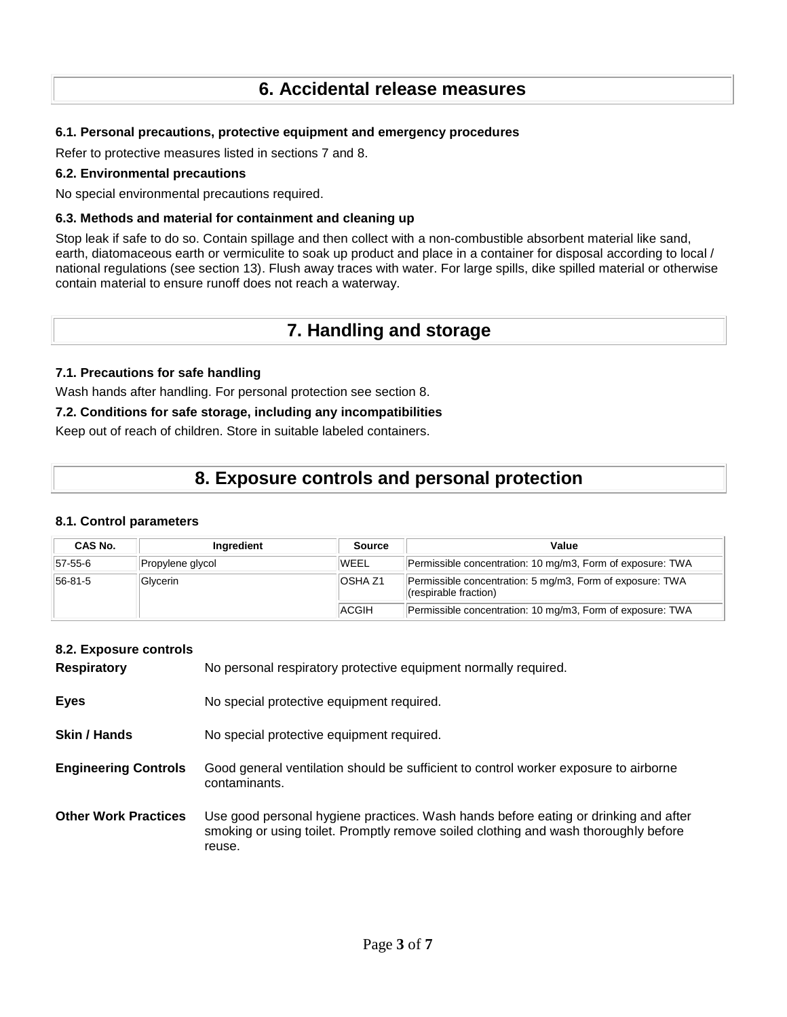## **6. Accidental release measures**

## **6.1. Personal precautions, protective equipment and emergency procedures**

Refer to protective measures listed in sections 7 and 8.

#### **6.2. Environmental precautions**

No special environmental precautions required.

#### **6.3. Methods and material for containment and cleaning up**

Stop leak if safe to do so. Contain spillage and then collect with a non-combustible absorbent material like sand, earth, diatomaceous earth or vermiculite to soak up product and place in a container for disposal according to local / national regulations (see section 13). Flush away traces with water. For large spills, dike spilled material or otherwise contain material to ensure runoff does not reach a waterway.

## **7. Handling and storage**

#### **7.1. Precautions for safe handling**

Wash hands after handling. For personal protection see section 8.

#### **7.2. Conditions for safe storage, including any incompatibilities**

Keep out of reach of children. Store in suitable labeled containers.

## **8. Exposure controls and personal protection**

#### **8.1. Control parameters**

| CAS No. | Ingredient       | <b>Source</b>  | Value                                                                              |
|---------|------------------|----------------|------------------------------------------------------------------------------------|
| 57-55-6 | Propylene glycol | <b>WEEL</b>    | Permissible concentration: 10 mg/m3, Form of exposure: TWA                         |
| 56-81-5 | Glycerin         | <b>OSHA Z1</b> | Permissible concentration: 5 mg/m3, Form of exposure: TWA<br>(respirable fraction) |
|         |                  | ACGIH          | Permissible concentration: 10 mg/m3, Form of exposure: TWA                         |

## **8.2. Exposure controls**

| <b>Respiratory</b>          | No personal respiratory protective equipment normally required.                                                                                                                      |
|-----------------------------|--------------------------------------------------------------------------------------------------------------------------------------------------------------------------------------|
| <b>Eyes</b>                 | No special protective equipment required.                                                                                                                                            |
| Skin / Hands                | No special protective equipment required.                                                                                                                                            |
| <b>Engineering Controls</b> | Good general ventilation should be sufficient to control worker exposure to airborne<br>contaminants.                                                                                |
| <b>Other Work Practices</b> | Use good personal hygiene practices. Wash hands before eating or drinking and after<br>smoking or using toilet. Promptly remove soiled clothing and wash thoroughly before<br>reuse. |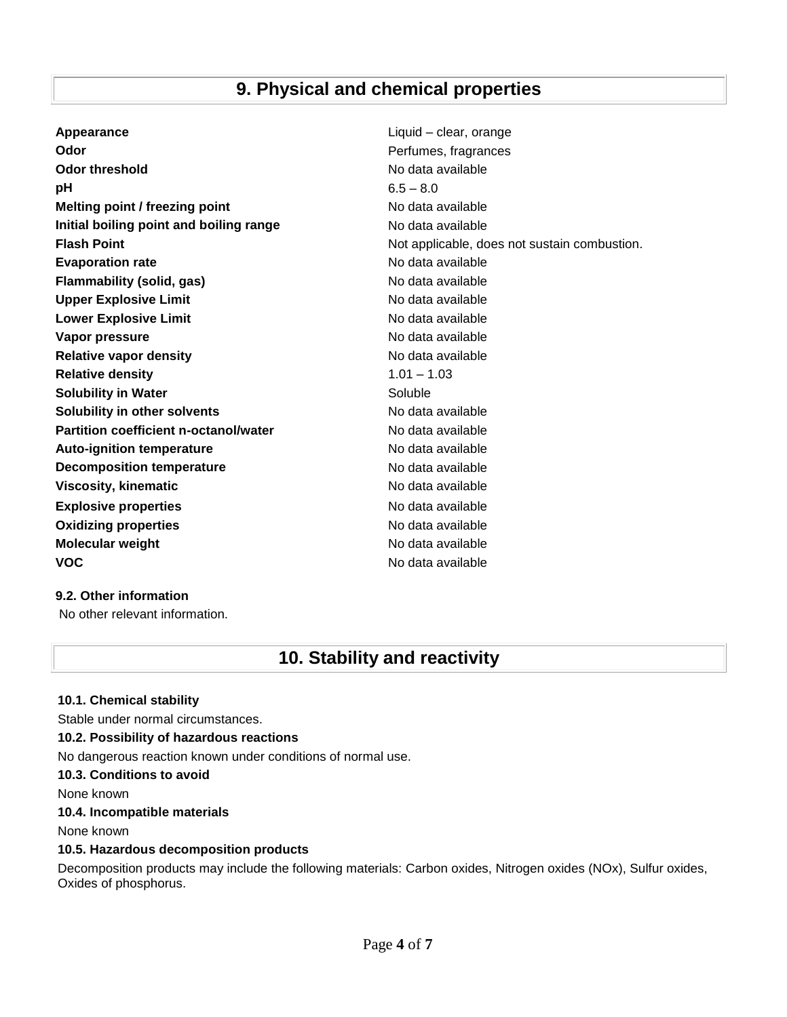## **9. Physical and chemical properties**

| Appearance                                   | Liquid – clear, orange                       |
|----------------------------------------------|----------------------------------------------|
| Odor                                         | Perfumes, fragrances                         |
| Odor threshold                               | No data available                            |
| pH                                           | $6.5 - 8.0$                                  |
| Melting point / freezing point               | No data available                            |
| Initial boiling point and boiling range      | No data available                            |
| <b>Flash Point</b>                           | Not applicable, does not sustain combustion. |
| <b>Evaporation rate</b>                      | No data available                            |
| <b>Flammability (solid, gas)</b>             | No data available                            |
| <b>Upper Explosive Limit</b>                 | No data available                            |
| <b>Lower Explosive Limit</b>                 | No data available                            |
| Vapor pressure                               | No data available                            |
| <b>Relative vapor density</b>                | No data available                            |
| <b>Relative density</b>                      | $1.01 - 1.03$                                |
| <b>Solubility in Water</b>                   | Soluble                                      |
| Solubility in other solvents                 | No data available                            |
| <b>Partition coefficient n-octanol/water</b> | No data available                            |
| <b>Auto-ignition temperature</b>             | No data available                            |
| <b>Decomposition temperature</b>             | No data available                            |
| <b>Viscosity, kinematic</b>                  | No data available                            |
| <b>Explosive properties</b>                  | No data available                            |
| <b>Oxidizing properties</b>                  | No data available                            |
| <b>Molecular weight</b>                      | No data available                            |
| <b>VOC</b>                                   | No data available                            |

## **9.2. Other information**

No other relevant information.

## **10. Stability and reactivity**

## **10.1. Chemical stability** Stable under normal circumstances. **10.2. Possibility of hazardous reactions** No dangerous reaction known under conditions of normal use. **10.3. Conditions to avoid** None known **10.4. Incompatible materials** None known **10.5. Hazardous decomposition products**

Decomposition products may include the following materials: Carbon oxides, Nitrogen oxides (NOx), Sulfur oxides, Oxides of phosphorus.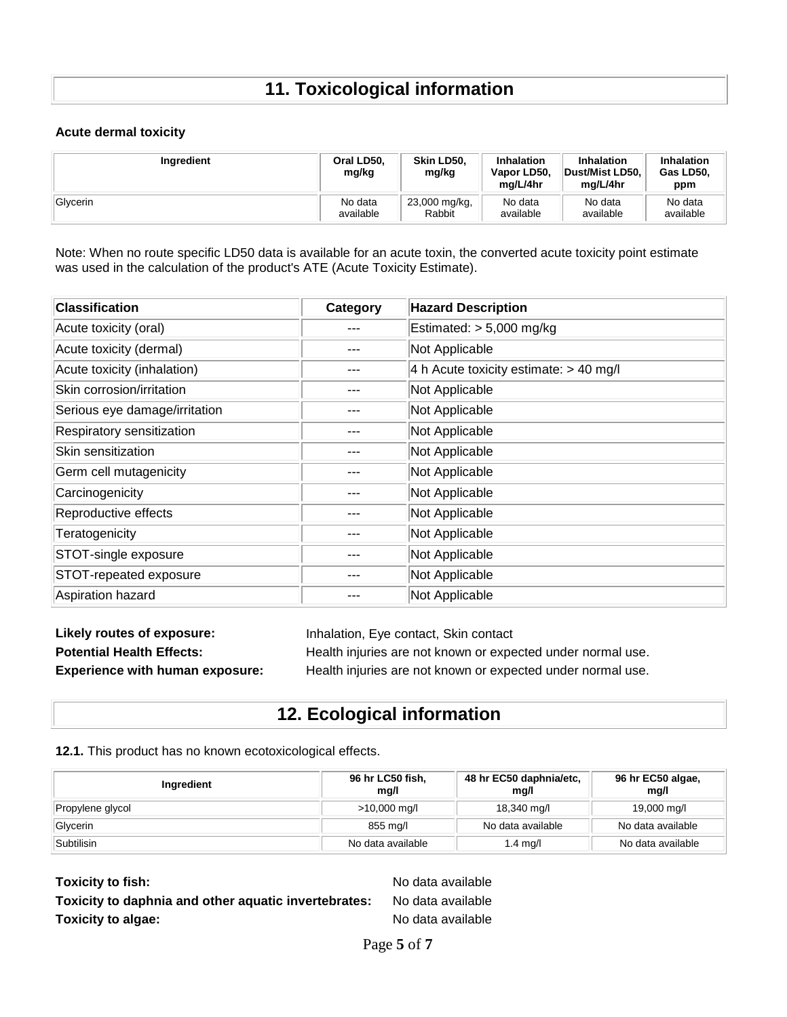# **11. Toxicological information**

### **Acute dermal toxicity**

| Ingredient | Oral LD50,<br>mg/kg | Skin LD50.<br>mg/kg | <b>Inhalation</b><br>Vapor LD50.<br>ma/L/4hr | Inhalation<br>Dust/Mist LD50.<br>ma/L/4hr | Inhalation<br>Gas LD50.<br>ppm |
|------------|---------------------|---------------------|----------------------------------------------|-------------------------------------------|--------------------------------|
| Glycerin   | No data             | 23,000 mg/kg,       | No data                                      | No data                                   | No data                        |
|            | available           | Rabbit              | available                                    | available                                 | available                      |

Note: When no route specific LD50 data is available for an acute toxin, the converted acute toxicity point estimate was used in the calculation of the product's ATE (Acute Toxicity Estimate).

| <b>Classification</b>         | Category | <b>Hazard Description</b>                |
|-------------------------------|----------|------------------------------------------|
| Acute toxicity (oral)         |          | Estimated: > 5,000 mg/kg                 |
| Acute toxicity (dermal)       |          | Not Applicable                           |
| Acute toxicity (inhalation)   |          | 4 h Acute toxicity estimate: $> 40$ mg/l |
| Skin corrosion/irritation     |          | Not Applicable                           |
| Serious eye damage/irritation |          | Not Applicable                           |
| Respiratory sensitization     |          | Not Applicable                           |
| Skin sensitization            |          | Not Applicable                           |
| Germ cell mutagenicity        |          | Not Applicable                           |
| Carcinogenicity               |          | Not Applicable                           |
| Reproductive effects          |          | Not Applicable                           |
| Teratogenicity                |          | Not Applicable                           |
| STOT-single exposure          |          | Not Applicable                           |
| STOT-repeated exposure        |          | Not Applicable                           |
| Aspiration hazard             |          | Not Applicable                           |

| Likely routes of exposure:             | Inhalation, Eye contact, Skin contact                       |
|----------------------------------------|-------------------------------------------------------------|
| <b>Potential Health Effects:</b>       | Health injuries are not known or expected under normal use. |
| <b>Experience with human exposure:</b> | Health injuries are not known or expected under normal use. |

## **12. Ecological information**

## **12.1.** This product has no known ecotoxicological effects.

| Ingredient       | 96 hr LC50 fish,<br>mg/l | 48 hr EC50 daphnia/etc.<br>mg/l | 96 hr EC50 algae,<br>mg/l |
|------------------|--------------------------|---------------------------------|---------------------------|
| Propylene glycol | >10,000 mg/l             | 18,340 mg/l                     | 19,000 mg/l               |
| Glycerin         | 855 mg/l                 | No data available               | No data available         |
| Subtilisin       | No data available        | 1.4 mg/l                        | No data available         |

**Toxicity to fish:** No data available **Toxicity to daphnia and other aquatic invertebrates:** No data available **Toxicity to algae:** No data available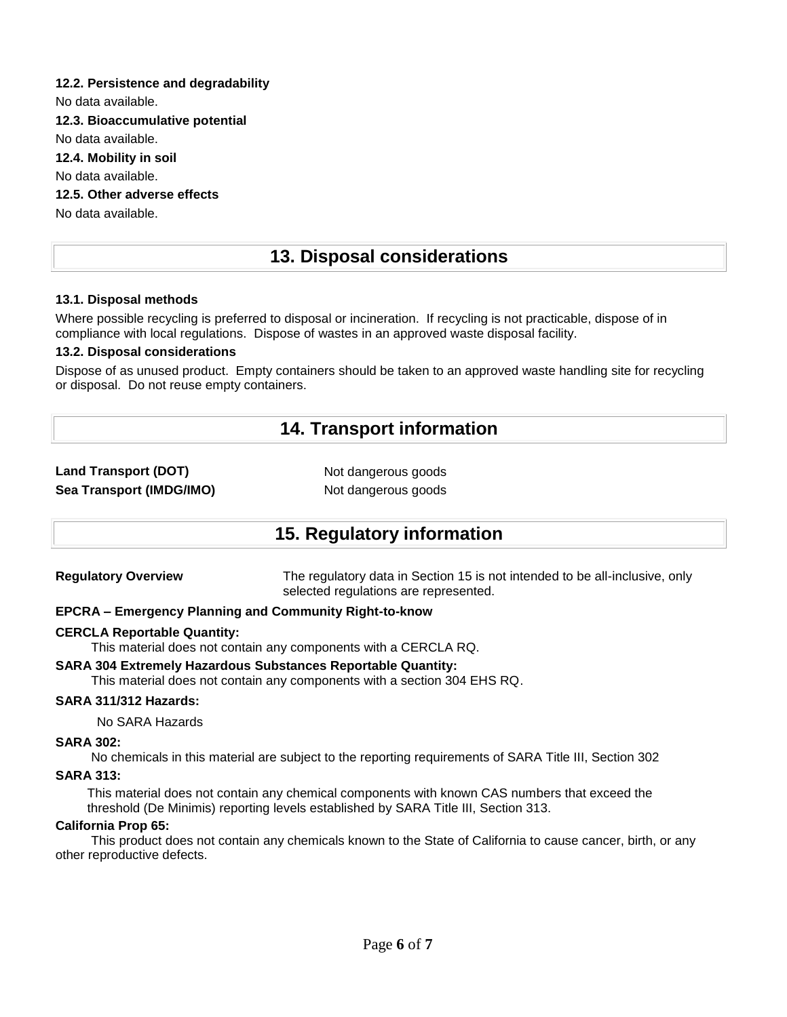## **12.2. Persistence and degradability**

No data available.

**12.3. Bioaccumulative potential**

No data available.

**12.4. Mobility in soil**

No data available.

**12.5. Other adverse effects**

No data available.

## **13. Disposal considerations**

## **13.1. Disposal methods**

Where possible recycling is preferred to disposal or incineration. If recycling is not practicable, dispose of in compliance with local regulations. Dispose of wastes in an approved waste disposal facility.

## **13.2. Disposal considerations**

Dispose of as unused product. Empty containers should be taken to an approved waste handling site for recycling or disposal. Do not reuse empty containers.

## **14. Transport information**

## **Land Transport (DOT)** Not dangerous goods **Sea Transport (IMDG/IMO)** Not dangerous goods

## **15. Regulatory information**

**Regulatory Overview** The regulatory data in Section 15 is not intended to be all-inclusive, only selected regulations are represented.

## **EPCRA – Emergency Planning and Community Right-to-know**

## **CERCLA Reportable Quantity:**

This material does not contain any components with a CERCLA RQ.

## **SARA 304 Extremely Hazardous Substances Reportable Quantity:**

This material does not contain any components with a section 304 EHS RQ.

## **SARA 311/312 Hazards:**

No SARA Hazards

## **SARA 302:**

No chemicals in this material are subject to the reporting requirements of SARA Title III, Section 302

## **SARA 313:**

This material does not contain any chemical components with known CAS numbers that exceed the threshold (De Minimis) reporting levels established by SARA Title III, Section 313.

## **California Prop 65:**

 This product does not contain any chemicals known to the State of California to cause cancer, birth, or any other reproductive defects.